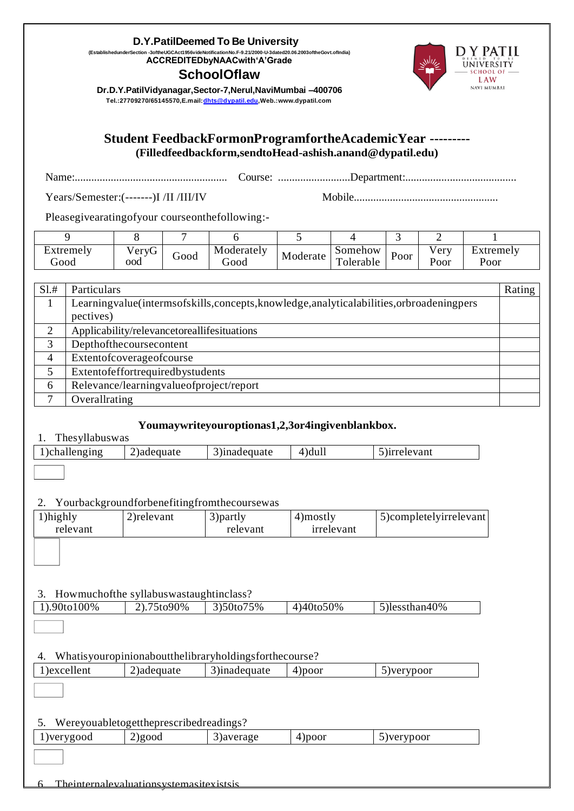#### **D.Y.PatilDeemed To Be University**

**(EstablishedunderSection -3oftheUGCAct1956videNotificationNo.F-9.21/2000-U-3dated20.06.2003oftheGovt.ofIndia) ACCREDITEDbyNAACwith'A'Grade**

### **SchoolOflaw**



**Dr.D.Y.PatilVidyanagar,Sector-7,Nerul,NaviMumbai –400706 Tel.:27709270/65145570,E.mail[:dhts@dypatil.edu,W](mailto:dhts@dypatil.edu)eb.[:www.dypatil.com](http://www.dypatil.com/)**

#### **Student FeedbackFormonProgramfortheAcademicYear --------- (Filledfeedbackform,sendtoHead-ashish.anand@dypatil.edu)**

Name:....................................................... Course: ..........................Department:........................................

Years/Semester:(-------)I /II /III/IV Mobile....................................................

Pleasegivearatingofyour courseonthefollowing:-

|                   |                      |      |                    |          |                                     |      | ∽                          |                   |
|-------------------|----------------------|------|--------------------|----------|-------------------------------------|------|----------------------------|-------------------|
| Extremely<br>boot | $\gamma$ eryG<br>ood | Good | Moderately<br>000t | Moderate | Somehow<br>$\mathbf{r}$<br>olerable | Poor | $\sqrt{e}$ rv<br>r<br>Poor | Extremely<br>Poor |

| S1.# | Particulars                                                                           | Rating |
|------|---------------------------------------------------------------------------------------|--------|
|      | Learningvalue(intermsofskills,concepts,knowledge,analyticalabilities,orbroadeningpers |        |
|      | pectives)                                                                             |        |
| 2    | Applicability/relevancetoreallifesituations                                           |        |
| 3    | Depthofthecoursecontent                                                               |        |
| 4    | Extentofcoverageofcourse                                                              |        |
|      | Extentofeffortrequiredbystudents                                                      |        |
| 6    | Relevance/learningvalueofproject/report                                               |        |
|      | Overallrating                                                                         |        |

#### **Youmaywriteyouroptionas1,2,3or4ingivenblankbox.**

| Thesyllabuswas |                                                       |              |            |                        |
|----------------|-------------------------------------------------------|--------------|------------|------------------------|
| 1)challenging  | 2) adequate                                           | 3)inadequate | $4)$ dull  | 5) irrelevant          |
|                |                                                       |              |            |                        |
| 2.             | Yourbackgroundforbenefitingfromthecoursewas           |              |            |                        |
| 1)highly       | 2) relevant                                           | 3) partly    | 4) mostly  | 5)completelyirrelevant |
| relevant       |                                                       | relevant     | irrelevant |                        |
|                |                                                       |              |            |                        |
| 3.             | Howmuchofthe syllabuswastaughtinclass?                |              |            |                        |
| 1).90to100%    | 2).75to90%                                            | 3)50to75%    | 4)40to50%  | 5)lessthan40%          |
|                |                                                       |              |            |                        |
| 4.             | Whatisyouropinionaboutthelibraryholdingsforthecourse? |              |            |                        |
| 1)excellent    | 2) adequate                                           | 3)inadequate | $4)$ poor  | 5) verypoor            |
|                |                                                       |              |            |                        |
| 5.             | Wereyouabletogettheprescribedreadings?                |              |            |                        |
| 1) verygood    | 2) good                                               | 3) average   | 4)poor     | 5) verypoor            |
| 6.             | The internal evaluations vstemas itexists is          |              |            |                        |
|                |                                                       |              |            |                        |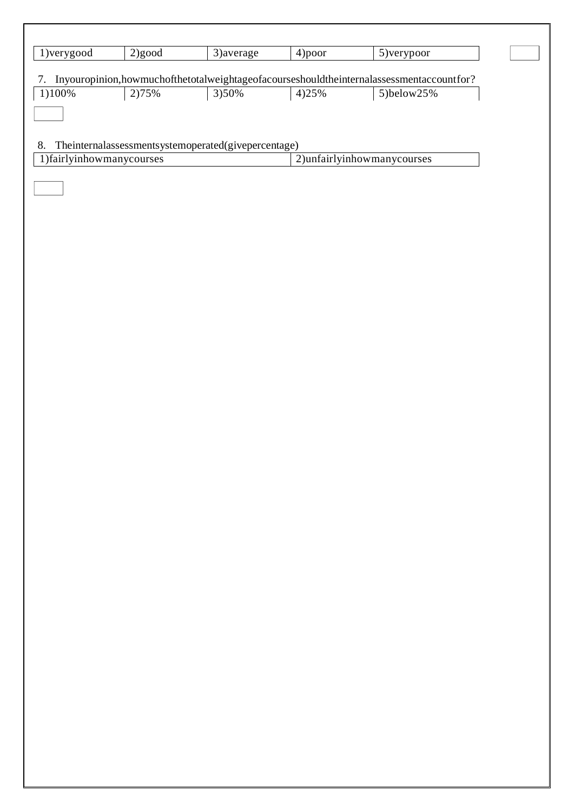| 1) very good             | 2) good | 3) average                                              | 4) poor | 5) verypoor                                                                             |
|--------------------------|---------|---------------------------------------------------------|---------|-----------------------------------------------------------------------------------------|
| 7.                       |         |                                                         |         | Inyouropinion,howmuchofthetotalweightageofacourseshouldtheinternalassessmentaccountfor? |
| 1)100%                   | 2)75%   | 3)50%                                                   | 4) 25%  | 5)below25%                                                                              |
|                          |         |                                                         |         |                                                                                         |
|                          |         |                                                         |         |                                                                                         |
| 8.                       |         | The<br>internalassessmentsystemoperated(givepercentage) |         |                                                                                         |
| 1)fairlyinhowmanycourses |         |                                                         |         | 2)unfairlyinhowmanycourses                                                              |
|                          |         |                                                         |         |                                                                                         |
|                          |         |                                                         |         |                                                                                         |
|                          |         |                                                         |         |                                                                                         |
|                          |         |                                                         |         |                                                                                         |
|                          |         |                                                         |         |                                                                                         |
|                          |         |                                                         |         |                                                                                         |
|                          |         |                                                         |         |                                                                                         |
|                          |         |                                                         |         |                                                                                         |
|                          |         |                                                         |         |                                                                                         |
|                          |         |                                                         |         |                                                                                         |
|                          |         |                                                         |         |                                                                                         |
|                          |         |                                                         |         |                                                                                         |
|                          |         |                                                         |         |                                                                                         |
|                          |         |                                                         |         |                                                                                         |
|                          |         |                                                         |         |                                                                                         |
|                          |         |                                                         |         |                                                                                         |
|                          |         |                                                         |         |                                                                                         |
|                          |         |                                                         |         |                                                                                         |
|                          |         |                                                         |         |                                                                                         |
|                          |         |                                                         |         |                                                                                         |
|                          |         |                                                         |         |                                                                                         |
|                          |         |                                                         |         |                                                                                         |
|                          |         |                                                         |         |                                                                                         |
|                          |         |                                                         |         |                                                                                         |
|                          |         |                                                         |         |                                                                                         |
|                          |         |                                                         |         |                                                                                         |
|                          |         |                                                         |         |                                                                                         |
|                          |         |                                                         |         |                                                                                         |
|                          |         |                                                         |         |                                                                                         |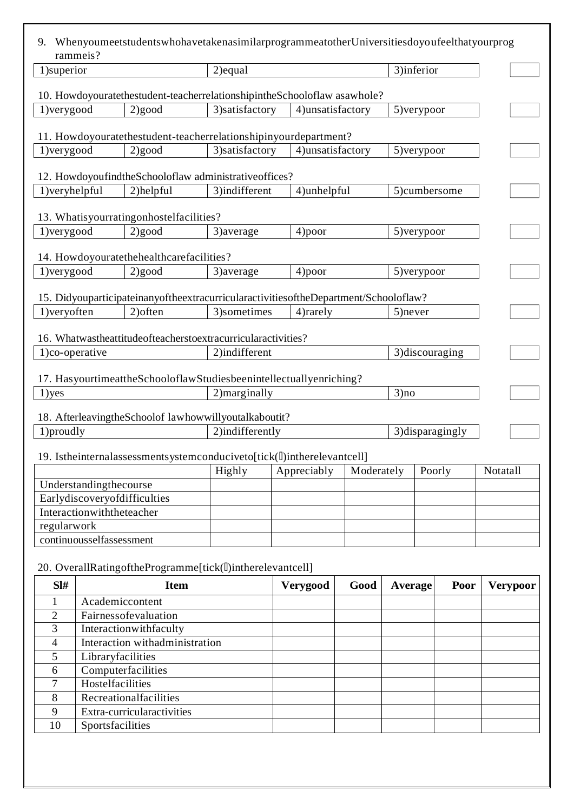| 9.                                                 | rammeis?                     | WhenyoumeetstudentswhohavetakenasimilarprogrammeatotherUniversitiesdoyoufeelthatyourprog |                 |                   |            |                |             |                  |                 |
|----------------------------------------------------|------------------------------|------------------------------------------------------------------------------------------|-----------------|-------------------|------------|----------------|-------------|------------------|-----------------|
| 1)superior                                         |                              |                                                                                          | 2) equal        |                   |            |                | 3)inferior  |                  |                 |
|                                                    |                              |                                                                                          |                 |                   |            |                |             |                  |                 |
|                                                    |                              | 10. Howdoyouratethestudent-teacherrelationshipintheSchooloflaw asawhole?                 |                 |                   |            |                |             |                  |                 |
| 1) very good                                       |                              | 2) good                                                                                  | 3) satisfactory | 4) unsatisfactory |            |                | 5) verypoor |                  |                 |
|                                                    |                              | 11. Howdoyouratethestudent-teacherrelationshipinyourdepartment?                          |                 |                   |            |                |             |                  |                 |
| 1) very good                                       |                              | 2) good                                                                                  | 3) satisfactory | 4)unsatisfactory  |            |                | 5) verypoor |                  |                 |
|                                                    |                              | 12. HowdoyoufindtheSchooloflaw administrativeoffices?                                    |                 |                   |            |                |             |                  |                 |
| 1) veryhelpful                                     |                              | 2)helpful                                                                                | 3)indifferent   | 4)unhelpful       |            |                |             | 5)cumbersome     |                 |
|                                                    |                              | 13. Whatisyourratingonhostelfacilities?                                                  |                 |                   |            |                |             |                  |                 |
| 1) very good                                       |                              | 2) good                                                                                  | 3) average      | 4) poor           |            |                | 5) verypoor |                  |                 |
|                                                    |                              |                                                                                          |                 |                   |            |                |             |                  |                 |
|                                                    |                              | 14. Howdoyouratethehealthcarefacilities?                                                 |                 |                   |            |                |             |                  |                 |
| 1) very good                                       |                              | 2) good                                                                                  | 3) average      | 4)poor            |            |                | 5) verypoor |                  |                 |
|                                                    |                              | 15. Didyouparticipateinanyoftheextracurricularactivities of the Department/Schooloflaw?  |                 |                   |            |                |             |                  |                 |
| 1) veryoften                                       |                              | 2) often                                                                                 | 3) sometimes    | 4) rarely         |            | 5) never       |             |                  |                 |
|                                                    |                              | 16. Whatwastheattitudeofteacherstoextracurricularactivities?                             |                 |                   |            |                |             |                  |                 |
| 2)indifferent<br>3) discouraging<br>1)co-operative |                              |                                                                                          |                 |                   |            |                |             |                  |                 |
|                                                    |                              | 17. HasyourtimeattheSchooloflawStudiesbeenintellectuallyenriching?                       |                 |                   |            |                |             |                  |                 |
| 1)yes                                              |                              |                                                                                          | 2) marginally   |                   |            | 3)no           |             |                  |                 |
|                                                    |                              | 18. AfterleavingtheSchoolof lawhowwillyoutalkaboutit?                                    |                 |                   |            |                |             |                  |                 |
| 1) proudly                                         |                              |                                                                                          | 2)indifferently |                   |            |                |             | 3) disparagingly |                 |
|                                                    |                              | 19. Istheinternalassessmentsystemconduciveto[tick(l])intherelevantcell]                  |                 |                   |            |                |             |                  |                 |
|                                                    |                              |                                                                                          | Highly          | Appreciably       | Moderately |                | Poorly      |                  | Notatall        |
|                                                    | Understandingthecourse       |                                                                                          |                 |                   |            |                |             |                  |                 |
|                                                    | Earlydiscoveryofdifficulties |                                                                                          |                 |                   |            |                |             |                  |                 |
|                                                    | Interactionwiththeteacher    |                                                                                          |                 |                   |            |                |             |                  |                 |
| regularwork                                        |                              |                                                                                          |                 |                   |            |                |             |                  |                 |
|                                                    | continuousselfassessment     |                                                                                          |                 |                   |            |                |             |                  |                 |
|                                                    |                              | 20. OverallRatingoftheProgramme[tick(ll)intherelevantcell]                               |                 |                   |            |                |             |                  |                 |
| SI#                                                |                              | <b>Item</b>                                                                              |                 | Verygood          | Good       | <b>Average</b> |             | Poor             | <b>Verypoor</b> |
| 1                                                  | Academiccontent              |                                                                                          |                 |                   |            |                |             |                  |                 |
| $\overline{2}$                                     |                              | Fairnessofevaluation                                                                     |                 |                   |            |                |             |                  |                 |
| 3                                                  |                              | Interactionwithfaculty                                                                   |                 |                   |            |                |             |                  |                 |
| 4                                                  |                              | Interaction withadministration                                                           |                 |                   |            |                |             |                  |                 |
| 5                                                  | Libraryfacilities            |                                                                                          |                 |                   |            |                |             |                  |                 |
| 6                                                  | Computerfacilities           |                                                                                          |                 |                   |            |                |             |                  |                 |
| $\tau$                                             | Hostelfacilities             |                                                                                          |                 |                   |            |                |             |                  |                 |
| 8                                                  |                              | Recreationalfacilities                                                                   |                 |                   |            |                |             |                  |                 |
| 9                                                  |                              | Extra-curricularactivities                                                               |                 |                   |            |                |             |                  |                 |
| 10                                                 | Sportsfacilities             |                                                                                          |                 |                   |            |                |             |                  |                 |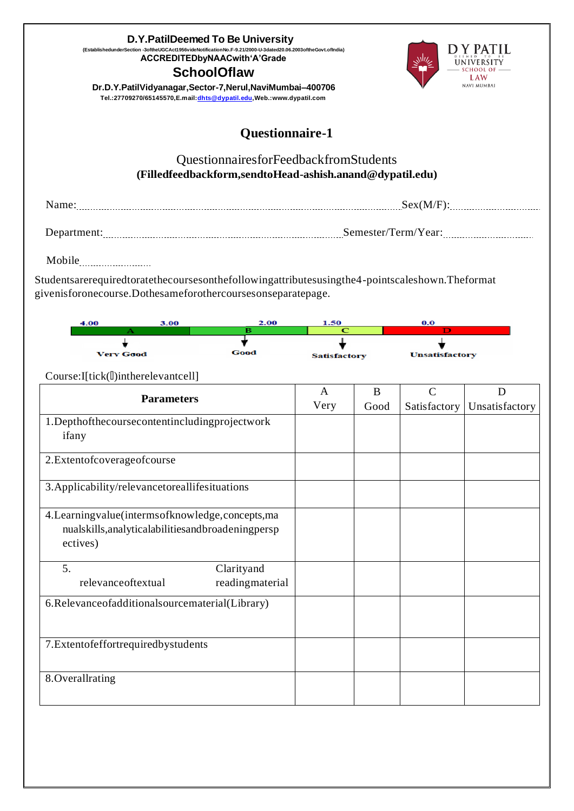| D.Y.PatilDeemed To Be University<br>(EstablishedunderSection -3oftheUGCAct1956videNotificationNo.F-9.21/2000-U-3dated20.06.2003oftheGovt.ofIndia)<br>ACCREDITEDbyNAACwith'A'Grade<br><b>SchoolOflaw</b><br>Dr.D.Y.PatilVidyanagar,Sector-7,Nerul,NaviMumbai-400706<br>Tel.:27709270/65145570, E.mail: dhts@dypatil.edu, Web.: www.dypatil.com |                     |      |                       | <b>NAVI MUMBAI</b> |  |  |
|-----------------------------------------------------------------------------------------------------------------------------------------------------------------------------------------------------------------------------------------------------------------------------------------------------------------------------------------------|---------------------|------|-----------------------|--------------------|--|--|
| <b>Questionnaire-1</b>                                                                                                                                                                                                                                                                                                                        |                     |      |                       |                    |  |  |
| QuestionnairesforFeedbackfromStudents<br>(Filledfeedbackform,sendtoHead-ashish.anand@dypatil.edu)                                                                                                                                                                                                                                             |                     |      |                       |                    |  |  |
|                                                                                                                                                                                                                                                                                                                                               |                     |      |                       |                    |  |  |
|                                                                                                                                                                                                                                                                                                                                               |                     |      |                       |                    |  |  |
| Mobile                                                                                                                                                                                                                                                                                                                                        |                     |      |                       |                    |  |  |
| Studentsarerequiredtoratethecoursesonthefollowingattributesusingthe4-pointscaleshown.Theformat<br>givenisforonecourse.Dothesameforothercoursesonseparatepage.<br>2.00<br>3.00<br>4.00                                                                                                                                                         | 1.50                |      |                       |                    |  |  |
| в                                                                                                                                                                                                                                                                                                                                             |                     |      |                       |                    |  |  |
| Good<br><b>Very Good</b>                                                                                                                                                                                                                                                                                                                      | <b>Satisfactory</b> |      | <b>Unsatisfactory</b> |                    |  |  |
| Course:I[tick(l])intherelevantcell]                                                                                                                                                                                                                                                                                                           | A                   | B    | $\mathbf C$           | D                  |  |  |
| <b>Parameters</b>                                                                                                                                                                                                                                                                                                                             | Very                | Good | Satisfactory          | Unsatisfactory     |  |  |
| 1.Depthofthecoursecontentincludingprojectwork<br>ifany                                                                                                                                                                                                                                                                                        |                     |      |                       |                    |  |  |
| 2.Extentofcoverageofcourse                                                                                                                                                                                                                                                                                                                    |                     |      |                       |                    |  |  |
| 3. Applicability/relevancetoreallifesituations                                                                                                                                                                                                                                                                                                |                     |      |                       |                    |  |  |
| 4. Learning value (interms of knowledge, concepts, ma<br>nualskills, analyticalabilities and broadening persp<br>ectives)                                                                                                                                                                                                                     |                     |      |                       |                    |  |  |
| Clarityand<br>5.<br>relevanceoftextual<br>readingmaterial                                                                                                                                                                                                                                                                                     |                     |      |                       |                    |  |  |
| 6.Relevanceofadditionalsourcematerial(Library)                                                                                                                                                                                                                                                                                                |                     |      |                       |                    |  |  |
| 7.Extentofeffortrequiredbystudents                                                                                                                                                                                                                                                                                                            |                     |      |                       |                    |  |  |
| 8. Overallrating                                                                                                                                                                                                                                                                                                                              |                     |      |                       |                    |  |  |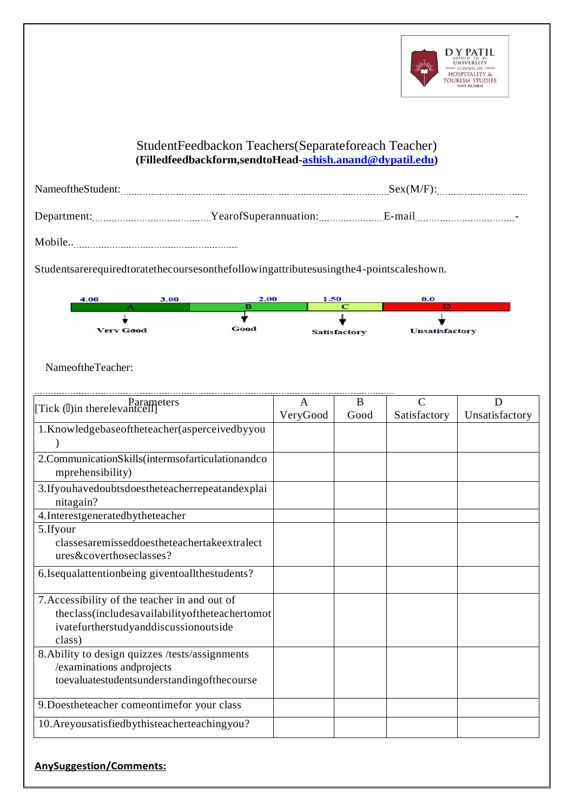

## **U** StudentFeedbackon Teachers(Separateforeach Teacher) **n (Filledfeedbackform,sendtoHead[-ashish.anand@dypatil.edu\)](mailto:ashish.anand@dypatil.edu)**

| NameoftheStudent: |                       | Sex(M/F) |
|-------------------|-----------------------|----------|
| Department:       | YearofSuperannuation: | E-mail   |
| .                 |                       | -        |

**t** Mobile..

**( E** Studentsarerequiredtoratethecoursesonthefollowingattributesusingthe4-pointscaleshown.



**S e** NameoftheTeacher:

| [Tick (l)in therelevantcell]                                           | A        | B    | $\subset$    | D              |
|------------------------------------------------------------------------|----------|------|--------------|----------------|
|                                                                        | VeryGood | Good | Satisfactory | Unsatisfactory |
| 1.Knowledgebaseoftheteacher(asperceivedbyyou                           |          |      |              |                |
|                                                                        |          |      |              |                |
| 2.CommunicationSkills(intermsofarticulationandco<br>mprehensibility)   |          |      |              |                |
| 3. If you have doubts does the teach errepeatance x plai<br>nitagain?  |          |      |              |                |
| 4. Interestgeneratedbytheteacher                                       |          |      |              |                |
| 5.Ifyour                                                               |          |      |              |                |
| classesaremisseddoestheteachertakeextralect<br>ures&coverthoseclasses? |          |      |              |                |
| 6.Isequalattentionbeing giventoallthestudents?                         |          |      |              |                |
| 7. Accessibility of the teacher in and out of                          |          |      |              |                |
| theclass(includesavailabilityoftheteachertomot                         |          |      |              |                |
| ivatefurtherstudyanddiscussionoutside                                  |          |      |              |                |
| class)                                                                 |          |      |              |                |
| 8. Ability to design quizzes /tests/assignments                        |          |      |              |                |
| /examinations andprojects                                              |          |      |              |                |
| toevaluatestudentsunderstandingofthecourse                             |          |      |              |                |
| 9. Doestheteacher comeontimefor your class                             |          |      |              |                |
| 10. Areyous atisfied by this teacher teaching you?                     |          |      |              |                |

## **0 3 o AnySuggestion/Comments:**

**h**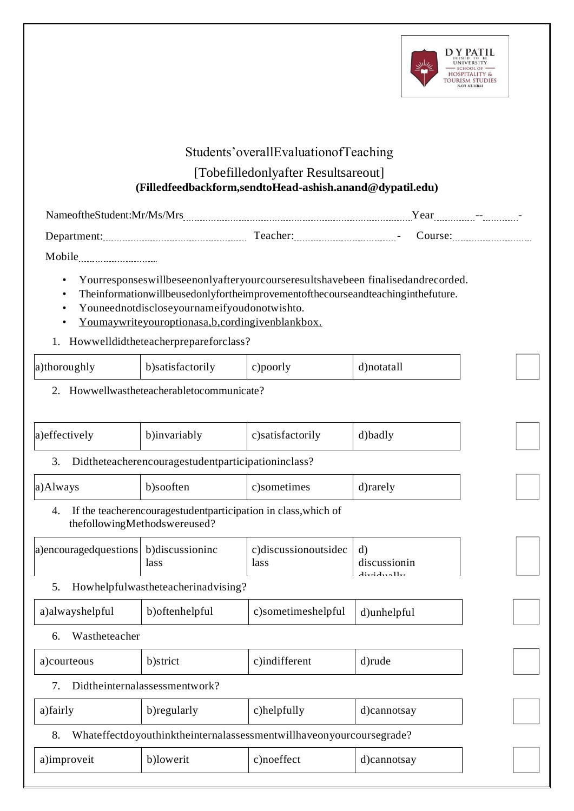

# Students'overallEvaluationofTeaching

#### **v (Filledfeedbackform,sendtoHead-ashish.anand@dypatil.edu)** [Tobefilledonlyafter Resultsareout]

| 'ameottheNtudent:Mr/Ms/Mrs<br>-------- | ----                                                                     | ′ ear<br>$\sim$ $\sim$<br>-<br>--------------<br>----- |
|----------------------------------------|--------------------------------------------------------------------------|--------------------------------------------------------|
| --------<br>------------------         | 1990<br>$\overline{\phantom{0}}$<br>--------------<br>------------------ | -------------                                          |

**y** Mobile

**h**

- **E s t** Yourresponseswillbeseenonlyafteryourcourseresultshavebeen finalisedandrecorded.
- **a b** Theinformationwillbeusedonlyfortheimprovementofthecourseandteachinginthefuture.
- **l i s** Youneednotdiscloseyournameifyoudonotwishto.
- **h e** Youmaywriteyouroptionasa,b,cordingivenblankbox.

# 1. Howwelldidtheteacherprepareforclass?

| a)thoroughly<br>b)satisfactorily<br>Doorly /<br>')notatall |
|------------------------------------------------------------|
|------------------------------------------------------------|

**i o n** 2. Howwellwastheteacherabletocommunicate?

| a)effectively                                            | b)invariably                                                                                    | c)satisfactorily                    | d)badly                                                               |  |  |  |
|----------------------------------------------------------|-------------------------------------------------------------------------------------------------|-------------------------------------|-----------------------------------------------------------------------|--|--|--|
| Didtheteacherencouragestudentparticipationinclass?<br>3. |                                                                                                 |                                     |                                                                       |  |  |  |
| a)Always                                                 | b)sooften                                                                                       | c)sometimes                         | d)rarely                                                              |  |  |  |
| 4.                                                       | If the teacherencouragestudent participation in class, which of<br>thefollowingMethodswereused? |                                     |                                                                       |  |  |  |
| a) encouraged questions                                  | b)discussioninc<br>lass                                                                         | c)discussionoutsidec<br><i>lass</i> | $\mathbf{d}$<br>discussionin<br>$A_{\text{total}}$ $A_{\text{total}}$ |  |  |  |
| .5.                                                      | Howhelpfulwastheteacherinadvising?                                                              |                                     |                                                                       |  |  |  |
| a) alwayshelpful                                         | b) oftenhelpful                                                                                 | c)sometimeshelpful                  | d)unhelpful                                                           |  |  |  |
| Wastheteacher<br>6.                                      |                                                                                                 |                                     |                                                                       |  |  |  |
| a) courteous                                             | b)strict                                                                                        | c)indifferent                       | d)rude                                                                |  |  |  |
| 7.                                                       | Didtheinternalassessmentwork?                                                                   |                                     |                                                                       |  |  |  |
| a)fairly                                                 | b) regularly                                                                                    | c)helpfully                         | d)cannotsay                                                           |  |  |  |
| 8.                                                       | Whateffectdoyouthinktheinternalassessmentwillhaveonyourcoursegrade?                             |                                     |                                                                       |  |  |  |
| a)improveit                                              | b)lowerit                                                                                       | c)noeffect                          | d)cannotsay                                                           |  |  |  |